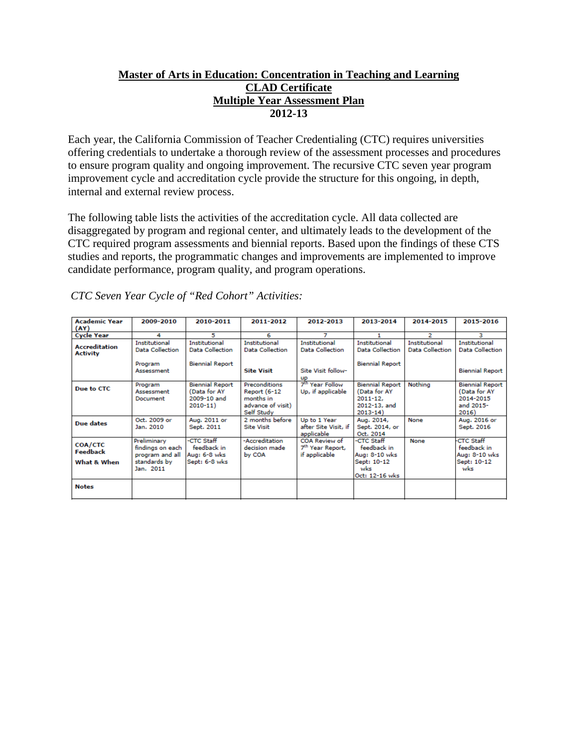## **Master of Arts in Education: Concentration in Teaching and Learning CLAD Certificate Multiple Year Assessment Plan 2012-13**

Each year, the California Commission of Teacher Credentialing (CTC) requires universities offering credentials to undertake a thorough review of the assessment processes and procedures to ensure program quality and ongoing improvement. The recursive CTC seven year program improvement cycle and accreditation cycle provide the structure for this ongoing, in depth, internal and external review process.

The following table lists the activities of the accreditation cycle. All data collected are disaggregated by program and regional center, and ultimately leads to the development of the CTC required program assessments and biennial reports. Based upon the findings of these CTS studies and reports, the programmatic changes and improvements are implemented to improve candidate performance, program quality, and program operations.

| <b>Academic Year</b>                    | 2009-2010                                                                       | 2010-2011                                                            | 2011-2012                                                                     | 2012-2013                                                      | 2013-2014                                                                            | 2014-2015                                      | 2015-2016                                                                 |
|-----------------------------------------|---------------------------------------------------------------------------------|----------------------------------------------------------------------|-------------------------------------------------------------------------------|----------------------------------------------------------------|--------------------------------------------------------------------------------------|------------------------------------------------|---------------------------------------------------------------------------|
| (AY)                                    |                                                                                 |                                                                      |                                                                               |                                                                |                                                                                      |                                                |                                                                           |
| <b>Cycle Year</b>                       | 4                                                                               | 5                                                                    | 6                                                                             | 7                                                              |                                                                                      | 2                                              | з                                                                         |
| <b>Accreditation</b><br><b>Activity</b> | <b>Institutional</b><br>Data Collection                                         | <b>Institutional</b><br>Data Collection                              | Institutional<br>Data Collection                                              | <b>Institutional</b><br>Data Collection                        | Institutional<br><b>Data Collection</b>                                              | <b>Institutional</b><br><b>Data Collection</b> | Institutional<br><b>Data Collection</b>                                   |
|                                         | Program<br>Assessment                                                           | <b>Biennial Report</b>                                               | <b>Site Visit</b>                                                             | Site Visit follow-<br>up                                       | <b>Biennial Report</b>                                                               |                                                | <b>Biennial Report</b>                                                    |
| Due to CTC                              | Program<br>Assessment<br>Document                                               | <b>Biennial Report</b><br>(Data for AY<br>2009-10 and<br>$2010 - 11$ | Preconditions<br>Report (6-12<br>months in<br>advance of visit)<br>Self Study | 7 <sup>th</sup> Year Follow<br>Up, if applicable               | <b>Biennial Report</b><br>(Data for AY<br>$2011 - 12$<br>2012-13, and<br>$2013 - 14$ | Nothing                                        | <b>Biennial Report</b><br>(Data for AY<br>2014-2015<br>and 2015-<br>2016) |
| Due dates                               | Oct. 2009 or<br>Jan. 2010                                                       | Aug. 2011 or<br>Sept. 2011                                           | 2 months before<br><b>Site Visit</b>                                          | Up to 1 Year<br>after Site Visit, if<br>applicable             | Aug. 2014,<br>Sept. 2014, or<br>Oct. 2014                                            | None                                           | Aug. 2016 or<br>Sept. 2016                                                |
| COA/CTC<br>Feedback<br>What & When      | Preliminary<br>findings on each<br>program and all<br>standards by<br>Jan. 2011 | -CTC Staff<br>feedback in<br>Aug: 6-8 wks<br>Sept: 6-8 wks           | -Accreditation<br>decision made<br>by COA                                     | COA Review of<br>7 <sup>th</sup> Year Report,<br>if applicable | -CTC Staff<br>feedback in<br>Aug: 8-10 wks<br>Sept: 10-12<br>wks<br>Oct: 12-16 wks   | None                                           | <b>CTC Staff</b><br>feedback in<br>Aug: 8-10 wks<br>Sept: 10-12<br>wks    |
| <b>Notes</b>                            |                                                                                 |                                                                      |                                                                               |                                                                |                                                                                      |                                                |                                                                           |

*CTC Seven Year Cycle of "Red Cohort" Activities:*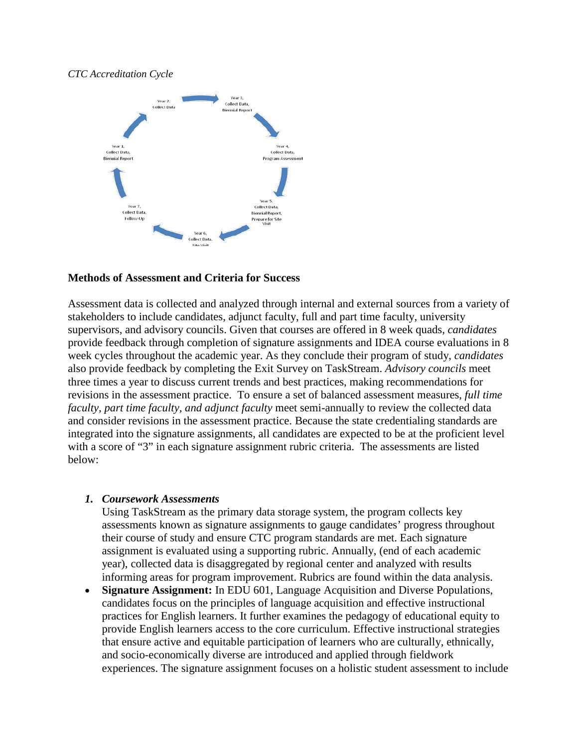#### *CTC Accreditation Cycle*



#### **Methods of Assessment and Criteria for Success**

Assessment data is collected and analyzed through internal and external sources from a variety of stakeholders to include candidates, adjunct faculty, full and part time faculty, university supervisors, and advisory councils. Given that courses are offered in 8 week quads, *candidates* provide feedback through completion of signature assignments and IDEA course evaluations in 8 week cycles throughout the academic year. As they conclude their program of study, *candidates* also provide feedback by completing the Exit Survey on TaskStream. *Advisory councils* meet three times a year to discuss current trends and best practices, making recommendations for revisions in the assessment practice. To ensure a set of balanced assessment measures, *full time faculty, part time faculty, and adjunct faculty* meet semi-annually to review the collected data and consider revisions in the assessment practice. Because the state credentialing standards are integrated into the signature assignments, all candidates are expected to be at the proficient level with a score of "3" in each signature assignment rubric criteria. The assessments are listed below:

#### *1. Coursework Assessments*

Using TaskStream as the primary data storage system, the program collects key assessments known as signature assignments to gauge candidates' progress throughout their course of study and ensure CTC program standards are met. Each signature assignment is evaluated using a supporting rubric. Annually, (end of each academic year), collected data is disaggregated by regional center and analyzed with results informing areas for program improvement. Rubrics are found within the data analysis.

• **Signature Assignment:** In EDU 601, Language Acquisition and Diverse Populations, candidates focus on the principles of language acquisition and effective instructional practices for English learners. It further examines the pedagogy of educational equity to provide English learners access to the core curriculum. Effective instructional strategies that ensure active and equitable participation of learners who are culturally, ethnically, and socio-economically diverse are introduced and applied through fieldwork experiences. The signature assignment focuses on a holistic student assessment to include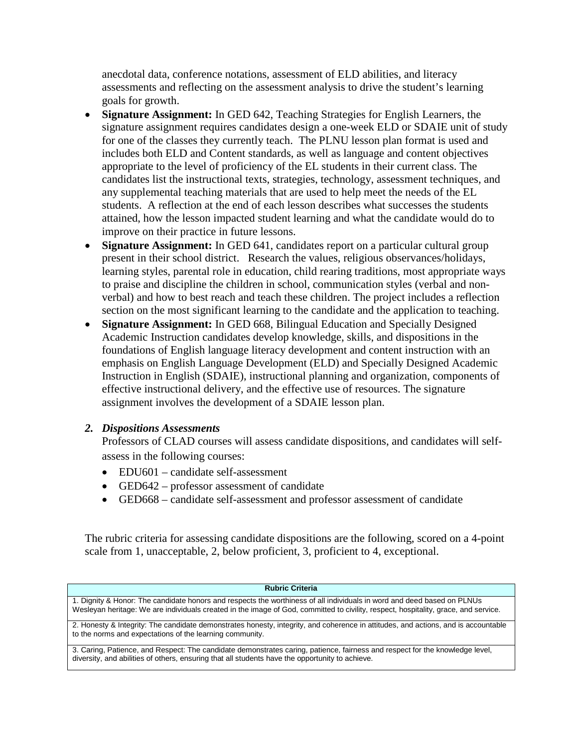anecdotal data, conference notations, assessment of ELD abilities, and literacy assessments and reflecting on the assessment analysis to drive the student's learning goals for growth.

- **Signature Assignment:** In GED 642, Teaching Strategies for English Learners, the signature assignment requires candidates design a one-week ELD or SDAIE unit of study for one of the classes they currently teach. The PLNU lesson plan format is used and includes both ELD and Content standards, as well as language and content objectives appropriate to the level of proficiency of the EL students in their current class. The candidates list the instructional texts, strategies, technology, assessment techniques, and any supplemental teaching materials that are used to help meet the needs of the EL students. A reflection at the end of each lesson describes what successes the students attained, how the lesson impacted student learning and what the candidate would do to improve on their practice in future lessons.
- **Signature Assignment:** In GED 641, candidates report on a particular cultural group present in their school district. Research the values, religious observances/holidays, learning styles, parental role in education, child rearing traditions, most appropriate ways to praise and discipline the children in school, communication styles (verbal and nonverbal) and how to best reach and teach these children. The project includes a reflection section on the most significant learning to the candidate and the application to teaching.
- **Signature Assignment:** In GED 668, Bilingual Education and Specially Designed Academic Instruction candidates develop knowledge, skills, and dispositions in the foundations of English language literacy development and content instruction with an emphasis on English Language Development (ELD) and Specially Designed Academic Instruction in English (SDAIE), instructional planning and organization, components of effective instructional delivery, and the effective use of resources. The signature assignment involves the development of a SDAIE lesson plan.

## *2. Dispositions Assessments*

Professors of CLAD courses will assess candidate dispositions, and candidates will selfassess in the following courses:

- EDU601 candidate self-assessment
- GED642 professor assessment of candidate
- GED668 candidate self-assessment and professor assessment of candidate

The rubric criteria for assessing candidate dispositions are the following, scored on a 4-point scale from 1, unacceptable, 2, below proficient, 3, proficient to 4, exceptional.

| <b>Rubric Criteria</b>                                                                                                                                                                                                                                         |  |  |  |  |  |  |
|----------------------------------------------------------------------------------------------------------------------------------------------------------------------------------------------------------------------------------------------------------------|--|--|--|--|--|--|
| 1. Dignity & Honor: The candidate honors and respects the worthiness of all individuals in word and deed based on PLNUs<br>Wesleyan heritage: We are individuals created in the image of God, committed to civility, respect, hospitality, grace, and service. |  |  |  |  |  |  |
| 2. Honesty & Integrity: The candidate demonstrates honesty, integrity, and coherence in attitudes, and actions, and is accountable<br>to the norms and expectations of the learning community.                                                                 |  |  |  |  |  |  |
| 3. Caring, Patience, and Respect: The candidate demonstrates caring, patience, fairness and respect for the knowledge level,<br>diversity, and abilities of others, ensuring that all students have the opportunity to achieve.                                |  |  |  |  |  |  |